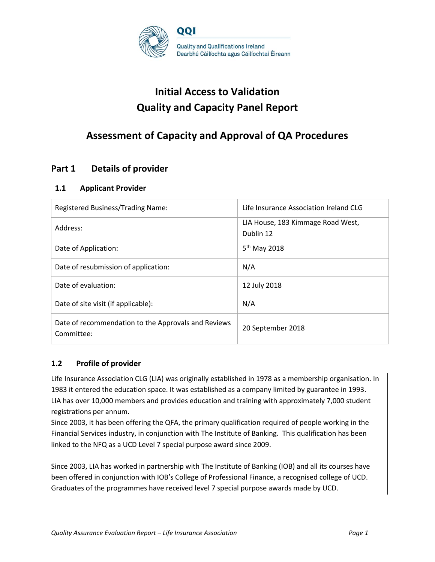

# **Initial Access to Validation Quality and Capacity Panel Report**

## **Assessment of Capacity and Approval of QA Procedures**

## **Part 1 Details of provider**

### **1.1 Applicant Provider**

| Registered Business/Trading Name:                                 | Life Insurance Association Ireland CLG         |
|-------------------------------------------------------------------|------------------------------------------------|
| Address:                                                          | LIA House, 183 Kimmage Road West,<br>Dublin 12 |
| Date of Application:                                              | 5 <sup>th</sup> May 2018                       |
| Date of resubmission of application:                              | N/A                                            |
| Date of evaluation:                                               | 12 July 2018                                   |
| Date of site visit (if applicable):                               | N/A                                            |
| Date of recommendation to the Approvals and Reviews<br>Committee: | 20 September 2018                              |

### **1.2 Profile of provider**

Life Insurance Association CLG (LIA) was originally established in 1978 as a membership organisation. In 1983 it entered the education space. It was established as a company limited by guarantee in 1993. LIA has over 10,000 members and provides education and training with approximately 7,000 student registrations per annum.

Since 2003, it has been offering the QFA, the primary qualification required of people working in the Financial Services industry, in conjunction with The Institute of Banking. This qualification has been linked to the NFQ as a UCD Level 7 special purpose award since 2009.

Since 2003, LIA has worked in partnership with The Institute of Banking (IOB) and all its courses have been offered in conjunction with IOB's College of Professional Finance, a recognised college of UCD. Graduates of the programmes have received level 7 special purpose awards made by UCD.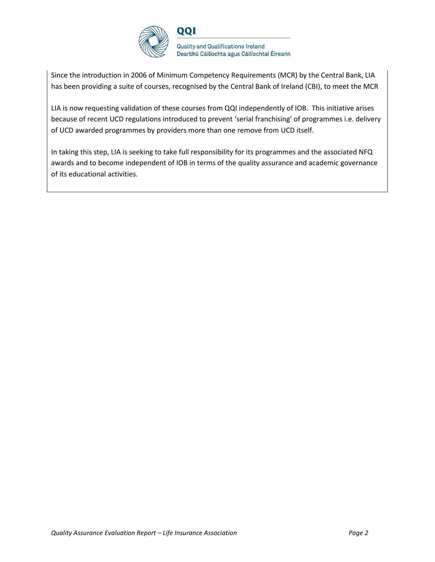

Since the introduction in 2006 of Minimum Competency Requirements (MCR) by the Central Bank, LIA has been providing a suite of courses, recognised by the Central Bank of Ireland (CBI), to meet the MCR

LIA is now requesting validation of these courses from QQI independently of IOB. This initiative arises because of recent UCD regulations introduced to prevent 'serial franchising' of programmes i.e. delivery of UCD awarded programmes by providers more than one remove from UCD itself.

In taking this step, LIA is seeking to take full responsibility for its programmes and the associated NFQ awards and to become independent of IOB in terms of the quality assurance and academic governance of its educational activities.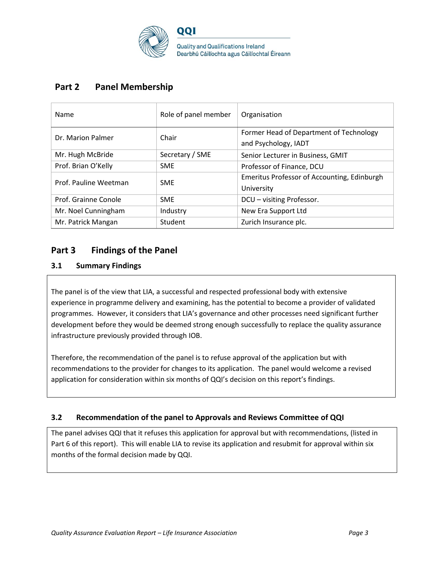

## **Part 2 Panel Membership**

| Name                                | Role of panel member                        | Organisation                                                    |
|-------------------------------------|---------------------------------------------|-----------------------------------------------------------------|
| Dr. Marion Palmer                   | Chair                                       | Former Head of Department of Technology<br>and Psychology, IADT |
| Mr. Hugh McBride                    | Secretary / SME                             | Senior Lecturer in Business, GMIT                               |
| Prof. Brian O'Kelly                 | <b>SME</b>                                  | Professor of Finance, DCU                                       |
| Prof. Pauline Weetman<br><b>SME</b> | Emeritus Professor of Accounting, Edinburgh |                                                                 |
|                                     |                                             | University                                                      |
| Prof. Grainne Conole                | <b>SME</b>                                  | DCU - visiting Professor.                                       |
| Mr. Noel Cunningham                 | Industry                                    | New Era Support Ltd                                             |
| Mr. Patrick Mangan                  | <b>Student</b>                              | Zurich Insurance plc.                                           |

## **Part 3 Findings of the Panel**

### **3.1 Summary Findings**

The panel is of the view that LIA, a successful and respected professional body with extensive experience in programme delivery and examining, has the potential to become a provider of validated programmes. However, it considers that LIA's governance and other processes need significant further development before they would be deemed strong enough successfully to replace the quality assurance infrastructure previously provided through IOB.

Therefore, the recommendation of the panel is to refuse approval of the application but with recommendations to the provider for changes to its application. The panel would welcome a revised application for consideration within six months of QQI's decision on this report's findings.

### **3.2 Recommendation of the panel to Approvals and Reviews Committee of QQI**

The panel advises QQI that it refuses this application for approval but with recommendations, (listed in Part 6 of this report). This will enable LIA to revise its application and resubmit for approval within six months of the formal decision made by QQI.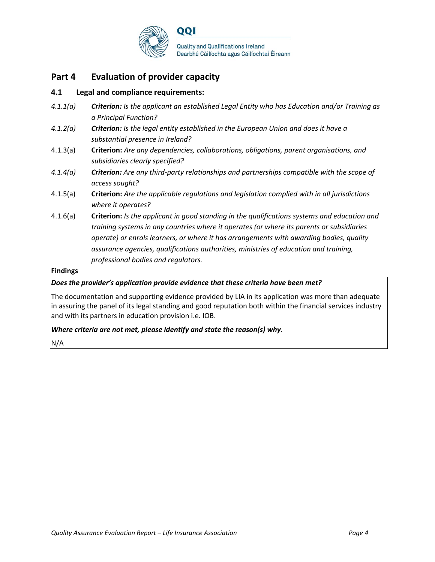

## **Part 4 Evaluation of provider capacity**

### **4.1 Legal and compliance requirements:**

- *4.1.1(a) Criterion: Is the applicant an established Legal Entity who has Education and/or Training as a Principal Function?*
- *4.1.2(a) Criterion: Is the legal entity established in the European Union and does it have a substantial presence in Ireland?*
- 4.1.3(a) **Criterion:** *Are any dependencies, collaborations, obligations, parent organisations, and subsidiaries clearly specified?*
- *4.1.4(a) Criterion: Are any third-party relationships and partnerships compatible with the scope of access sought?*
- 4.1.5(a) **Criterion:** *Are the applicable regulations and legislation complied with in all jurisdictions where it operates?*
- 4.1.6(a) **Criterion:** *Is the applicant in good standing in the qualifications systems and education and training systems in any countries where it operates (or where its parents or subsidiaries operate) or enrols learners, or where it has arrangements with awarding bodies, quality assurance agencies, qualifications authorities, ministries of education and training, professional bodies and regulators.*

#### **Findings**

#### *Does the provider's application provide evidence that these criteria have been met?*

The documentation and supporting evidence provided by LIA in its application was more than adequate in assuring the panel of its legal standing and good reputation both within the financial services industry and with its partners in education provision i.e. IOB.

#### *Where criteria are not met, please identify and state the reason(s) why.*

N/A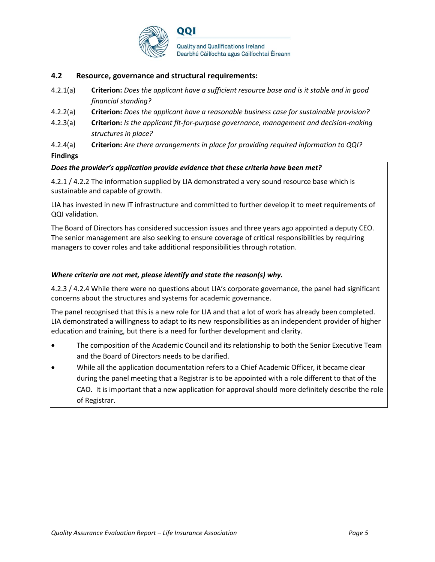

#### **4.2 Resource, governance and structural requirements:**

- 4.2.1(a) **Criterion:** *Does the applicant have a sufficient resource base and is it stable and in good financial standing?*
- 4.2.2(a) **Criterion:** *Does the applicant have a reasonable business case for sustainable provision?*
- 4.2.3(a) **Criterion:** *Is the applicant fit-for-purpose governance, management and decision-making structures in place?*
- 4.2.4(a) **Criterion:** *Are there arrangements in place for providing required information to QQI?* **Findings**

#### *Does the provider's application provide evidence that these criteria have been met?*

4.2.1 / 4.2.2 The information supplied by LIA demonstrated a very sound resource base which is sustainable and capable of growth.

LIA has invested in new IT infrastructure and committed to further develop it to meet requirements of QQI validation.

The Board of Directors has considered succession issues and three years ago appointed a deputy CEO. The senior management are also seeking to ensure coverage of critical responsibilities by requiring managers to cover roles and take additional responsibilities through rotation.

#### *Where criteria are not met, please identify and state the reason(s) why.*

4.2.3 / 4.2.4 While there were no questions about LIA's corporate governance, the panel had significant concerns about the structures and systems for academic governance.

The panel recognised that this is a new role for LIA and that a lot of work has already been completed. LIA demonstrated a willingness to adapt to its new responsibilities as an independent provider of higher education and training, but there is a need for further development and clarity.

- The composition of the Academic Council and its relationship to both the Senior Executive Team and the Board of Directors needs to be clarified.
- While all the application documentation refers to a Chief Academic Officer, it became clear during the panel meeting that a Registrar is to be appointed with a role different to that of the CAO. It is important that a new application for approval should more definitely describe the role of Registrar.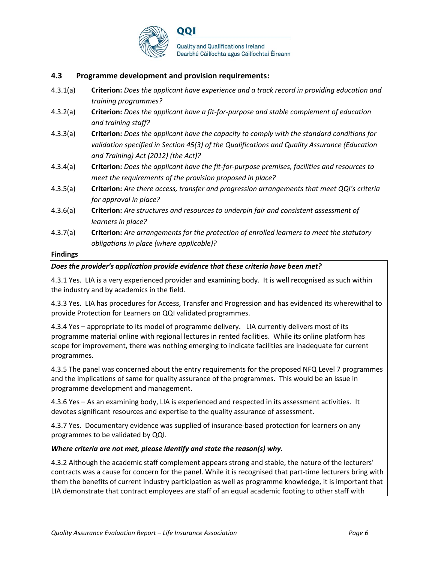

#### **4.3 Programme development and provision requirements:**

- 4.3.1(a) **Criterion:** *Does the applicant have experience and a track record in providing education and training programmes?*
- 4.3.2(a) **Criterion:** *Does the applicant have a fit-for-purpose and stable complement of education and training staff?*
- 4.3.3(a) **Criterion:** *Does the applicant have the capacity to comply with the standard conditions for validation specified in Section 45(3) of the Qualifications and Quality Assurance (Education and Training) Act (2012) (the Act)?*
- 4.3.4(a) **Criterion:** *Does the applicant have the fit-for-purpose premises, facilities and resources to meet the requirements of the provision proposed in place?*
- 4.3.5(a) **Criterion:** *Are there access, transfer and progression arrangements that meet QQI's criteria for approval in place?*
- 4.3.6(a) **Criterion:** *Are structures and resources to underpin fair and consistent assessment of learners in place?*
- 4.3.7(a) **Criterion:** *Are arrangements for the protection of enrolled learners to meet the statutory obligations in place (where applicable)?*

#### **Findings**

#### *Does the provider's application provide evidence that these criteria have been met?*

4.3.1 Yes. LIA is a very experienced provider and examining body. It is well recognised as such within the industry and by academics in the field.

4.3.3 Yes. LIA has procedures for Access, Transfer and Progression and has evidenced its wherewithal to provide Protection for Learners on QQI validated programmes.

4.3.4 Yes – appropriate to its model of programme delivery. LIA currently delivers most of its programme material online with regional lectures in rented facilities. While its online platform has scope for improvement, there was nothing emerging to indicate facilities are inadequate for current programmes.

4.3.5 The panel was concerned about the entry requirements for the proposed NFQ Level 7 programmes and the implications of same for quality assurance of the programmes. This would be an issue in programme development and management.

4.3.6 Yes – As an examining body, LIA is experienced and respected in its assessment activities. It devotes significant resources and expertise to the quality assurance of assessment.

4.3.7 Yes. Documentary evidence was supplied of insurance-based protection for learners on any programmes to be validated by QQI.

#### *Where criteria are not met, please identify and state the reason(s) why.*

4.3.2 Although the academic staff complement appears strong and stable, the nature of the lecturers' contracts was a cause for concern for the panel. While it is recognised that part-time lecturers bring with them the benefits of current industry participation as well as programme knowledge, it is important that LIA demonstrate that contract employees are staff of an equal academic footing to other staff with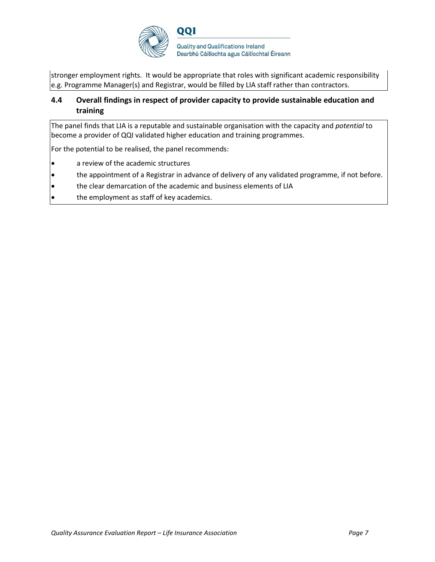

stronger employment rights. It would be appropriate that roles with significant academic responsibility e.g. Programme Manager(s) and Registrar, would be filled by LIA staff rather than contractors.

### **4.4 Overall findings in respect of provider capacity to provide sustainable education and training**

The panel finds that LIA is a reputable and sustainable organisation with the capacity and *potential* to become a provider of QQI validated higher education and training programmes.

For the potential to be realised, the panel recommends:

- a review of the academic structures
- the appointment of a Registrar in advance of delivery of any validated programme, if not before.
- the clear demarcation of the academic and business elements of LIA
- the employment as staff of key academics.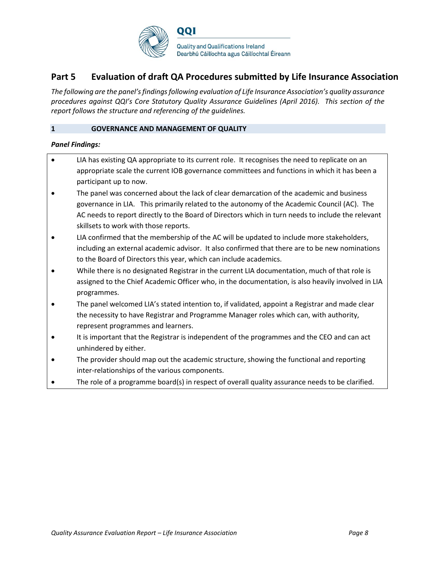

## **Part 5 Evaluation of draft QA Procedures submitted by Life Insurance Association**

*The following are the panel's findings following evaluation of Life Insurance Association's quality assurance procedures against QQI's Core Statutory Quality Assurance Guidelines (April 2016). This section of the report follows the structure and referencing of the guidelines.* 

#### **1 GOVERNANCE AND MANAGEMENT OF QUALITY**

- LIA has existing QA appropriate to its current role. It recognises the need to replicate on an appropriate scale the current IOB governance committees and functions in which it has been a participant up to now.
- The panel was concerned about the lack of clear demarcation of the academic and business governance in LIA. This primarily related to the autonomy of the Academic Council (AC). The AC needs to report directly to the Board of Directors which in turn needs to include the relevant skillsets to work with those reports.
- LIA confirmed that the membership of the AC will be updated to include more stakeholders, including an external academic advisor. It also confirmed that there are to be new nominations to the Board of Directors this year, which can include academics.
- While there is no designated Registrar in the current LIA documentation, much of that role is assigned to the Chief Academic Officer who, in the documentation, is also heavily involved in LIA programmes.
- The panel welcomed LIA's stated intention to, if validated, appoint a Registrar and made clear the necessity to have Registrar and Programme Manager roles which can, with authority, represent programmes and learners.
- It is important that the Registrar is independent of the programmes and the CEO and can act unhindered by either.
- The provider should map out the academic structure, showing the functional and reporting inter-relationships of the various components.
- The role of a programme board(s) in respect of overall quality assurance needs to be clarified.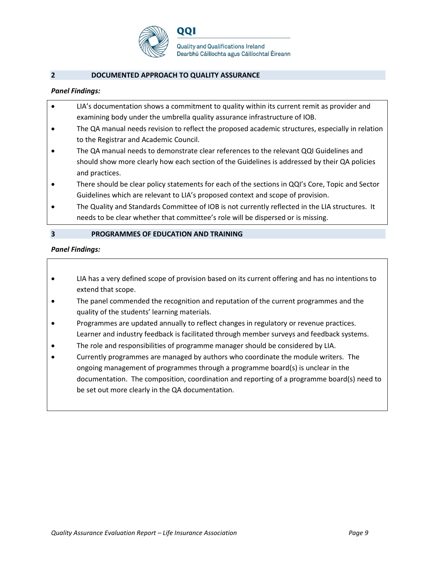

#### **2 DOCUMENTED APPROACH TO QUALITY ASSURANCE**

#### *Panel Findings:*

| LIA's documentation shows a commitment to quality within its current remit as provider and |
|--------------------------------------------------------------------------------------------|
| examining body under the umbrella quality assurance infrastructure of IOB.                 |

- The QA manual needs revision to reflect the proposed academic structures, especially in relation to the Registrar and Academic Council.
- The QA manual needs to demonstrate clear references to the relevant QQI Guidelines and should show more clearly how each section of the Guidelines is addressed by their QA policies and practices.
- There should be clear policy statements for each of the sections in QQI's Core, Topic and Sector Guidelines which are relevant to LIA's proposed context and scope of provision.
- The Quality and Standards Committee of IOB is not currently reflected in the LIA structures. It needs to be clear whether that committee's role will be dispersed or is missing.

#### **3 PROGRAMMES OF EDUCATION AND TRAINING**

- LIA has a very defined scope of provision based on its current offering and has no intentions to extend that scope.
- The panel commended the recognition and reputation of the current programmes and the quality of the students' learning materials.
- Programmes are updated annually to reflect changes in regulatory or revenue practices. Learner and industry feedback is facilitated through member surveys and feedback systems.
- The role and responsibilities of programme manager should be considered by LIA.
- Currently programmes are managed by authors who coordinate the module writers. The ongoing management of programmes through a programme board(s) is unclear in the documentation. The composition, coordination and reporting of a programme board(s) need to be set out more clearly in the QA documentation.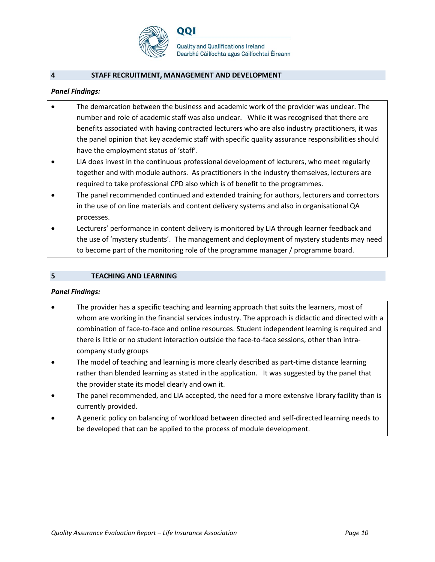

**Quality and Qualifications Ireland** Dearbhú Cáilíochta agus Cáilíochtaí Éireann

#### **4 STAFF RECRUITMENT, MANAGEMENT AND DEVELOPMENT**

#### *Panel Findings:*

- The demarcation between the business and academic work of the provider was unclear. The number and role of academic staff was also unclear. While it was recognised that there are benefits associated with having contracted lecturers who are also industry practitioners, it was the panel opinion that key academic staff with specific quality assurance responsibilities should have the employment status of 'staff'.
- LIA does invest in the continuous professional development of lecturers, who meet regularly together and with module authors. As practitioners in the industry themselves, lecturers are required to take professional CPD also which is of benefit to the programmes.
- The panel recommended continued and extended training for authors, lecturers and correctors in the use of on line materials and content delivery systems and also in organisational QA processes.
- Lecturers' performance in content delivery is monitored by LIA through learner feedback and the use of 'mystery students'. The management and deployment of mystery students may need to become part of the monitoring role of the programme manager / programme board.

#### **5 TEACHING AND LEARNING**

- The provider has a specific teaching and learning approach that suits the learners, most of whom are working in the financial services industry. The approach is didactic and directed with a combination of face-to-face and online resources. Student independent learning is required and there is little or no student interaction outside the face-to-face sessions, other than intracompany study groups
- The model of teaching and learning is more clearly described as part-time distance learning rather than blended learning as stated in the application. It was suggested by the panel that the provider state its model clearly and own it.
- The panel recommended, and LIA accepted, the need for a more extensive library facility than is currently provided.
- A generic policy on balancing of workload between directed and self-directed learning needs to be developed that can be applied to the process of module development.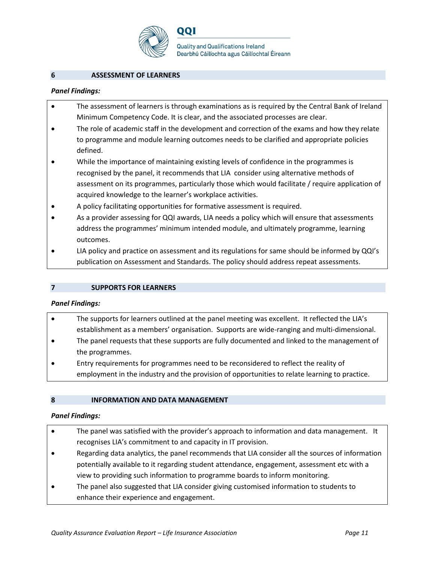

001

**Quality and Qualifications Ireland** Dearbhú Cáilíochta agus Cáilíochtaí Éireann

#### **6 ASSESSMENT OF LEARNERS**

#### *Panel Findings:*

- The assessment of learners is through examinations as is required by the Central Bank of Ireland Minimum Competency Code. It is clear, and the associated processes are clear.
- The role of academic staff in the development and correction of the exams and how they relate to programme and module learning outcomes needs to be clarified and appropriate policies defined.
- While the importance of maintaining existing levels of confidence in the programmes is recognised by the panel, it recommends that LIA consider using alternative methods of assessment on its programmes, particularly those which would facilitate / require application of acquired knowledge to the learner's workplace activities.
- A policy facilitating opportunities for formative assessment is required.
- As a provider assessing for QQI awards, LIA needs a policy which will ensure that assessments address the programmes' minimum intended module, and ultimately programme, learning outcomes.
- LIA policy and practice on assessment and its regulations for same should be informed by QQI's publication on Assessment and Standards. The policy should address repeat assessments.

#### **7 SUPPORTS FOR LEARNERS**

#### *Panel Findings:*

- The supports for learners outlined at the panel meeting was excellent. It reflected the LIA's establishment as a members' organisation. Supports are wide-ranging and multi-dimensional.
- The panel requests that these supports are fully documented and linked to the management of the programmes.
- Entry requirements for programmes need to be reconsidered to reflect the reality of employment in the industry and the provision of opportunities to relate learning to practice.

#### **8 INFORMATION AND DATA MANAGEMENT**

- The panel was satisfied with the provider's approach to information and data management. It recognises LIA's commitment to and capacity in IT provision.
- Regarding data analytics, the panel recommends that LIA consider all the sources of information potentially available to it regarding student attendance, engagement, assessment etc with a view to providing such information to programme boards to inform monitoring.
- The panel also suggested that LIA consider giving customised information to students to enhance their experience and engagement.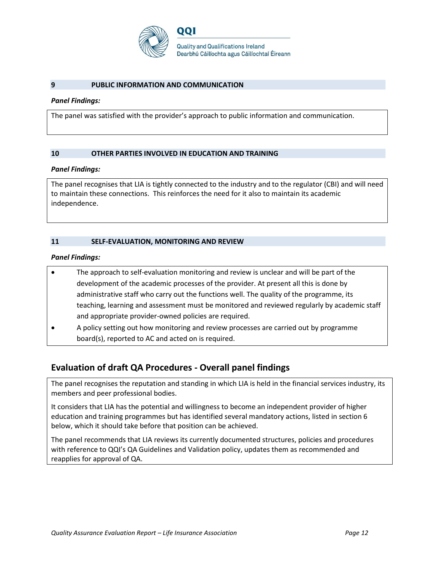

#### **9 PUBLIC INFORMATION AND COMMUNICATION**

#### *Panel Findings:*

The panel was satisfied with the provider's approach to public information and communication.

#### **10 OTHER PARTIES INVOLVED IN EDUCATION AND TRAINING**

#### *Panel Findings:*

The panel recognises that LIA is tightly connected to the industry and to the regulator (CBI) and will need to maintain these connections. This reinforces the need for it also to maintain its academic independence.

#### **11 SELF-EVALUATION, MONITORING AND REVIEW**

#### *Panel Findings:*

- The approach to self-evaluation monitoring and review is unclear and will be part of the development of the academic processes of the provider. At present all this is done by administrative staff who carry out the functions well. The quality of the programme, its teaching, learning and assessment must be monitored and reviewed regularly by academic staff and appropriate provider-owned policies are required.
- A policy setting out how monitoring and review processes are carried out by programme board(s), reported to AC and acted on is required.

## **Evaluation of draft QA Procedures - Overall panel findings**

The panel recognises the reputation and standing in which LIA is held in the financial services industry, its members and peer professional bodies.

It considers that LIA has the potential and willingness to become an independent provider of higher education and training programmes but has identified several mandatory actions, listed in section 6 below, which it should take before that position can be achieved.

The panel recommends that LIA reviews its currently documented structures, policies and procedures with reference to QQI's QA Guidelines and Validation policy, updates them as recommended and reapplies for approval of QA.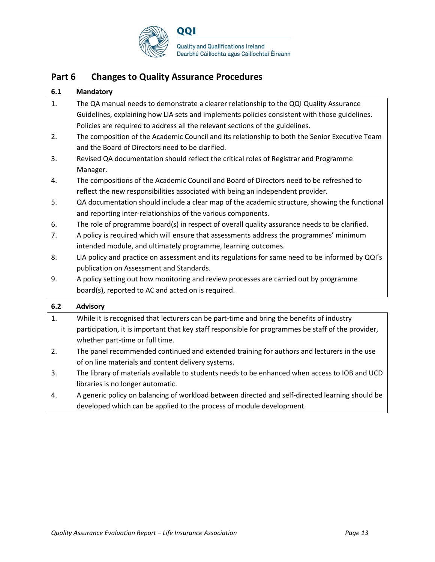

## **Part 6 Changes to Quality Assurance Procedures**

#### **6.1 Mandatory**

| $\sim$ $\sim$ | $\blacksquare$                                                                                  |
|---------------|-------------------------------------------------------------------------------------------------|
|               | board(s), reported to AC and acted on is required.                                              |
| 9.            | A policy setting out how monitoring and review processes are carried out by programme           |
|               | publication on Assessment and Standards.                                                        |
| 8.            | LIA policy and practice on assessment and its regulations for same need to be informed by QQI's |
|               | intended module, and ultimately programme, learning outcomes.                                   |
| 7.            | A policy is required which will ensure that assessments address the programmes' minimum         |
| 6.            | The role of programme board(s) in respect of overall quality assurance needs to be clarified.   |
|               | and reporting inter-relationships of the various components.                                    |
| 5.            | QA documentation should include a clear map of the academic structure, showing the functional   |
|               | reflect the new responsibilities associated with being an independent provider.                 |
| 4.            | The compositions of the Academic Council and Board of Directors need to be refreshed to         |
|               | Manager.                                                                                        |
| 3.            | Revised QA documentation should reflect the critical roles of Registrar and Programme           |
|               | and the Board of Directors need to be clarified.                                                |
| 2.            | The composition of the Academic Council and its relationship to both the Senior Executive Team  |
|               | Policies are required to address all the relevant sections of the guidelines.                   |
|               | Guidelines, explaining how LIA sets and implements policies consistent with those guidelines.   |
| 1.            | The QA manual needs to demonstrate a clearer relationship to the QQI Quality Assurance          |

| While it is recognised that lecturers can be part-time and bring the benefits of industry          |
|----------------------------------------------------------------------------------------------------|
| participation, it is important that key staff responsible for programmes be staff of the provider, |
| whether part-time or full time.                                                                    |

- 2. The panel recommended continued and extended training for authors and lecturers in the use of on line materials and content delivery systems.
- 3. The library of materials available to students needs to be enhanced when access to IOB and UCD libraries is no longer automatic.
- 4. A generic policy on balancing of workload between directed and self-directed learning should be developed which can be applied to the process of module development.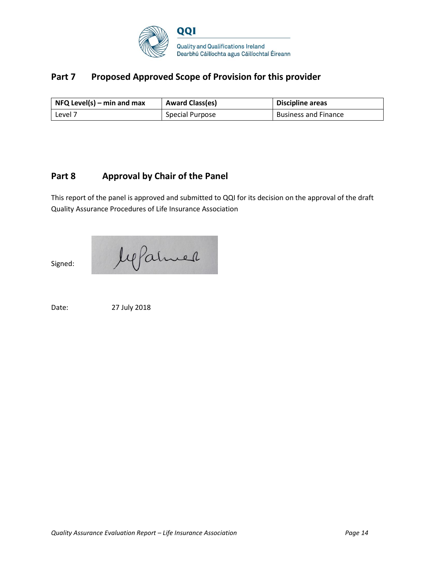

## Part 7 Proposed Approved Scope of Provision for this provider

| $\vert$ NFQ Level(s) – min and max | <b>Award Class(es)</b> | <b>Discipline areas</b>     |
|------------------------------------|------------------------|-----------------------------|
| Level 7                            | Special Purpose        | <b>Business and Finance</b> |

## **Part 8 Approval by Chair of the Panel**

This report of the panel is approved and submitted to QQI for its decision on the approval of the draft Quality Assurance Procedures of Life Insurance Association

Jepanner Signed:

Date: 27 July 2018